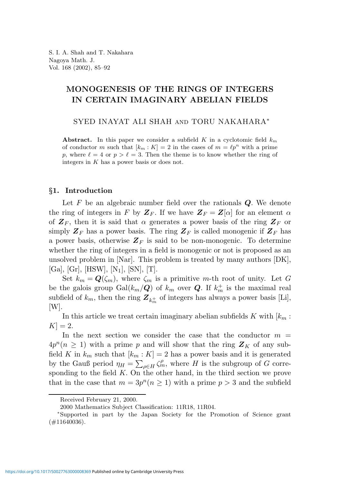# MONOGENESIS OF THE RINGS OF INTEGERS IN CERTAIN IMAGINARY ABELIAN FIELDS

SYED INAYAT ALI SHAH and TORU NAKAHARA<sup>∗</sup>

**Abstract.** In this paper we consider a subfield K in a cyclotomic field  $k_m$ of conductor m such that  $[k_m : K] = 2$  in the cases of  $m = \ell p^n$  with a prime p, where  $\ell = 4$  or  $p > \ell = 3$ . Then the theme is to know whether the ring of integers in K has a power basis or does not.

### §1. Introduction

Let  $F$  be an algebraic number field over the rationals  $Q$ . We denote the ring of integers in F by  $\mathbf{Z}_F$ . If we have  $\mathbf{Z}_F = \mathbf{Z}[\alpha]$  for an element  $\alpha$ of  $\mathbf{Z}_F$ , then it is said that  $\alpha$  generates a power basis of the ring  $\mathbf{Z}_F$  or simply  $\mathbf{Z}_F$  has a power basis. The ring  $\mathbf{Z}_F$  is called monogenic if  $\mathbf{Z}_F$  has a power basis, otherwise  $\mathbf{Z}_F$  is said to be non-monogenic. To determine whether the ring of integers in a field is monogenic or not is proposed as an unsolved problem in [Nar]. This problem is treated by many authors [DK],  $[Ga], [Gr], [HSW], [N_1], [SN], [T].$ 

Set  $k_m = \mathbf{Q}(\zeta_m)$ , where  $\zeta_m$  is a primitive m-th root of unity. Let G be the galois group  $Gal(k_m/Q)$  of  $k_m$  over Q. If  $k_m^+$  is the maximal real subfield of  $k_m$ , then the ring  $\mathbf{Z}_{k_m^+}$  of integers has always a power basis [Li],  $|W|$ .

In this article we treat certain imaginary abelian subfields K with  $[k_m :$  $|K| = 2.$ 

In the next section we consider the case that the conductor  $m =$  $4p^{n}(n \geq 1)$  with a prime p and will show that the ring  $\mathbf{Z}_{K}$  of any subfield K in  $k_m$  such that  $[k_m : K] = 2$  has a power basis and it is generated by the Gauß period  $\eta_H = \sum_{\rho \in H} \zeta_m^{\rho}$ , where H is the subgroup of G corresponding to the field  $K$ . On the other hand, in the third section we prove that in the case that  $m = 3p^n (n \ge 1)$  with a prime  $p > 3$  and the subfield

Received February 21, 2000.

<sup>2000</sup> Mathematics Subject Classification: 11R18, 11R04.

<sup>∗</sup>Supported in part by the Japan Society for the Promotion of Science grant  $(\#11640036)$ .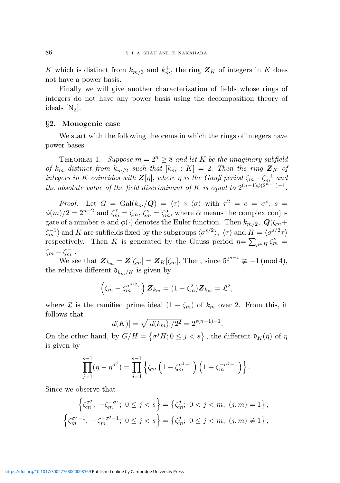K which is distinct from  $k_{m/3}$  and  $k_m^+$ , the ring  $\mathbf{Z}_K$  of integers in K does not have a power basis.

Finally we will give another characterization of fields whose rings of integers do not have any power basis using the decomposition theory of ideals  $[N_2]$ .

## §2. Monogenic case

We start with the following theorems in which the rings of integers have power bases.

THEOREM 1. Suppose  $m = 2^n \geq 8$  and let K be the imaginary subfield of  $k_m$  distinct from  $k_{m/2}$  such that  $[k_m : K] = 2$ . Then the ring  $\mathbf{Z}_K$  of integers in K coincides with  $\mathbf{Z}[\eta]$ , where  $\eta$  is the Gauß period  $\zeta_m - \zeta_m^{-1}$  and the absolute value of the field discriminant of K is equal to  $2^{(n-1)\phi(2^{n-1})-1}$ .

Proof. Let  $G = \text{Gal}(k_m/Q) = \langle \tau \rangle \times \langle \sigma \rangle$  with  $\tau^2 = e = \sigma^s$ ,  $s =$  $\phi(m)/2 = 2^{n-2}$  and  $\zeta_m^{\tau} = \zeta_m^{\tau}, \zeta_m^{\sigma} = \zeta_m^5$ , where  $\bar{\alpha}$  means the complex conjugate of a number  $\alpha$  and  $\phi(\cdot)$  denotes the Euler function. Then  $k_{m/2}$ ,  $\mathbf{Q}(\zeta_m + \zeta_m)$  $\zeta_m^{-1}$ ) and K are subfields fixed by the subgroups  $\langle \sigma^{s/2} \rangle$ ,  $\langle \tau \rangle$  and  $H = \langle \sigma^{s/2} \tau \rangle$ respectively. Then K is generated by the Gauss period  $\eta = \sum_{\rho \in H} \zeta_m^{\rho}$  $\zeta_m - \zeta_m^{-1}.$ 

We see that  $\mathbf{Z}_{k_m} = \mathbf{Z}[\zeta_m] = \mathbf{Z}_K[\zeta_m]$ . Then, since  $5^{2^{n-1}} \not\equiv -1 \pmod{4}$ , the relative different  $\mathfrak{d}_{k_m/K}$  is given by

$$
\left(\zeta_m-\zeta_m^{\sigma^{s/2}\tau}\right)\mathbf{Z}_{k_m}=(1-\zeta_m^2)\mathbf{Z}_{k_m}=\mathfrak{L}^2,
$$

where  $\mathfrak L$  is the ramified prime ideal  $(1 - \zeta_m)$  of  $k_m$  over 2. From this, it follows that

$$
|d(K)| = \sqrt{|d(k_m)|/2^2} = 2^{s(n-1)-1}.
$$

On the other hand, by  $G/H = \{ \sigma^j H; 0 \le j < s \}$ , the different  $\mathfrak{d}_K(\eta)$  of  $\eta$ is given by

$$
\prod_{j=1}^{s-1} (\eta - \eta^{\sigma^j}) = \prod_{j=1}^{s-1} \left\{ \zeta_m \left( 1 - \zeta_m^{\sigma^j - 1} \right) \left( 1 + \zeta_m^{-\sigma^j - 1} \right) \right\}.
$$

Since we observe that

$$
\left\{\zeta_m^{\sigma^j}, -\zeta_m^{-\sigma^j}; 0 \le j < s\right\} = \left\{\zeta_m^j; 0 < j < m, (j, m) = 1\right\},\
$$
\n
$$
\left\{\zeta_m^{\sigma^j - 1}, -\zeta_m^{-\sigma^j - 1}; 0 \le j < s\right\} = \left\{\zeta_m^j; 0 \le j < m, (j, m) \ne 1\right\},\
$$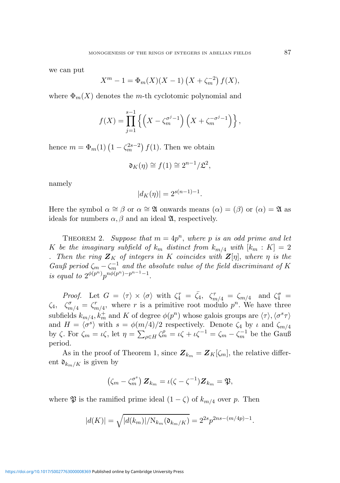we can put

$$
X^{m} - 1 = \Phi_{m}(X)(X - 1) (X + \zeta_{m}^{-2}) f(X),
$$

where  $\Phi_m(X)$  denotes the m-th cyclotomic polynomial and

$$
f(X) = \prod_{j=1}^{s-1} \left\{ \left( X - \zeta_m^{\sigma^j - 1} \right) \left( X + \zeta_m^{-\sigma^j - 1} \right) \right\},\,
$$

hence  $m = \Phi_m(1) \left(1 - \zeta_m^{2s-2}\right) f(1)$ . Then we obtain

$$
\mathfrak{d}_K(\eta) \cong f(1) \cong 2^{n-1}/\mathfrak{L}^2,
$$

namely

$$
|d_K(\eta)| = 2^{s(n-1)-1}.
$$

Here the symbol  $\alpha \cong \beta$  or  $\alpha \cong \mathfrak{A}$  onwards means  $(\alpha) = (\beta)$  or  $(\alpha) = \mathfrak{A}$  as ideals for numbers  $\alpha$ ,  $\beta$  and an ideal  $\mathfrak{A}$ , respectively.

THEOREM 2. Suppose that  $m = 4p^n$ , where p is an odd prime and let K be the imaginary subfield of  $k_m$  distinct from  $k_{m/4}$  with  $[k_m : K] = 2$ . Then the ring  $\mathbf{Z}_K$  of integers in K coincides with  $\mathbf{Z}[\eta]$ , where  $\eta$  is the Gauß period  $\zeta_m - \zeta_m^{-1}$  and the absolute value of the field discriminant of K is equal to  $2^{\phi(p^n)} p^{n\phi(p^n)-p^{n-1}-1}$ .

Proof. Let  $G = \langle \tau \rangle \times \langle \sigma \rangle$  with  $\zeta_4^{\tau} = \bar{\zeta}_4$ ,  $\zeta_{m/4}^{\tau} = \zeta_{m/4}$  and  $\zeta_4^{\sigma} =$  $\zeta_4, \quad \zeta_{m/4}^{\sigma} = \zeta_{m/4}^r$ , where r is a primitive root modulo  $p^n$ . We have three subfields  $k_{m/4}, k_m^+$  and K of degree  $\phi(p^n)$  whose galois groups are  $\langle \tau \rangle, \langle \sigma^s \tau \rangle$ and  $H = \langle \sigma^s \rangle$  with  $s = \phi(m/4)/2$  respectively. Denote  $\zeta_4$  by  $\iota$  and  $\zeta_{m/4}$ by  $\zeta$ . For  $\zeta_m = \iota \zeta$ , let  $\eta = \sum_{\rho \in H} \zeta_m^{\rho} = \iota \zeta + \iota \zeta^{-1} = \zeta_m - \zeta_m^{-1}$  be the Gauß period.

As in the proof of Theorem 1, since  $\mathbf{Z}_{k_m} = \mathbf{Z}_K[\zeta_m]$ , the relative different  $\mathfrak{d}_{k_m/K}$  is given by

$$
(\zeta_m - \zeta_m^{\sigma^s}) \mathbf{Z}_{k_m} = \iota(\zeta - \zeta^{-1}) \mathbf{Z}_{k_m} = \mathfrak{P},
$$

where  $\mathfrak{P}$  is the ramified prime ideal  $(1 - \zeta)$  of  $k_{m/4}$  over p. Then

$$
|d(K)| = \sqrt{|d(k_m)|/N_{k_m}(\mathfrak{d}_{k_m/K})} = 2^{2s} p^{2ns - (m/4p) - 1}.
$$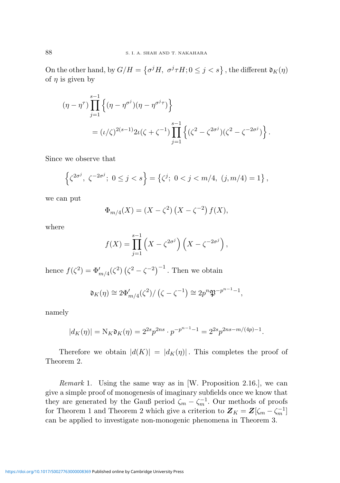On the other hand, by  $G/H = \left\{ \sigma^j H, \sigma^j \tau H; 0 \leq j < s \right\}$ , the different  $\mathfrak{d}_K(\eta)$ of  $\eta$  is given by

$$
(\eta - \eta^{\tau}) \prod_{j=1}^{s-1} \left\{ (\eta - \eta^{\sigma^j}) (\eta - \eta^{\sigma^j \tau}) \right\}
$$
  
=  $(\iota/\zeta)^{2(s-1)} 2\iota(\zeta + \zeta^{-1}) \prod_{j=1}^{s-1} \left\{ (\zeta^2 - \zeta^{2\sigma^j}) (\zeta^2 - \zeta^{-2\sigma^j}) \right\}.$ 

Since we observe that

$$
\left\{ \zeta^{2\sigma^j}, \ \zeta^{-2\sigma^j}; \ 0 \le j < s \right\} = \left\{ \zeta^j; \ 0 < j < m/4, \ (j, m/4) = 1 \right\},\
$$

we can put

$$
\Phi_{m/4}(X) = (X - \zeta^2) (X - \zeta^{-2}) f(X),
$$

where

$$
f(X) = \prod_{j=1}^{s-1} \left( X - \zeta^{2\sigma^j} \right) \left( X - \zeta^{-2\sigma^j} \right),
$$

hence  $f(\zeta^2) = \Phi'_i$  $\int_{m/4}^{M} (\zeta^2) (\zeta^2 - \zeta^{-2})^{-1}$ . Then we obtain

$$
\mathfrak{d}_K(\eta) \cong 2\Phi'_{m/4}(\zeta^2)/(\zeta - \zeta^{-1}) \cong 2p^n \mathfrak{P}^{-p^{n-1}-1},
$$

namely

$$
|d_K(\eta)| = N_K \mathfrak{d}_K(\eta) = 2^{2s} p^{2ns} \cdot p^{-p^{n-1}-1} = 2^{2s} p^{2ns-m/(4p)-1}.
$$

Therefore we obtain  $|d(K)| = |d_K(\eta)|$ . This completes the proof of Theorem 2.

Remark 1. Using the same way as in [W. Proposition 2.16.], we can give a simple proof of monogenesis of imaginary subfields once we know that they are generated by the Gauß period  $\zeta_m - \zeta_m^{-1}$ . Our methods of proofs for Theorem 1 and Theorem 2 which give a criterion to  $\mathbf{Z}_K = \mathbf{Z}[\zeta_m - \zeta_m^{-1}]$ can be applied to investigate non-monogenic phenomena in Theorem 3.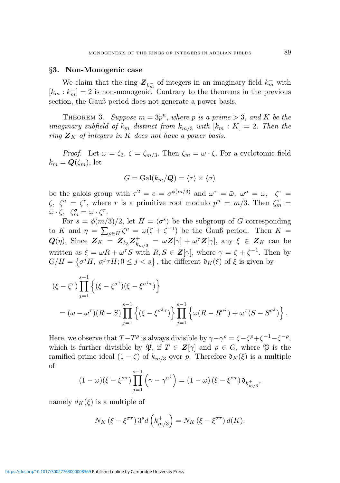#### §3. Non-Monogenic case

We claim that the ring  $\mathbf{Z}_{k_m^-}$  of integers in an imaginary field  $k_m^-$  with  $[k_m : k_m^-] = 2$  is non-monogenic. Contrary to the theorems in the previous section, the Gauß period does not generate a power basis.

THEOREM 3. Suppose  $m = 3p^n$ , where p is a prime  $> 3$ , and K be the imaginary subfield of  $k_m$  distinct from  $k_{m/3}$  with  $[k_m : K] = 2$ . Then the ring  $\mathbf{Z}_K$  of integers in K does not have a power basis.

*Proof.* Let  $\omega = \zeta_3$ ,  $\zeta = \zeta_{m/3}$ . Then  $\zeta_m = \omega \cdot \zeta$ . For a cyclotomic field  $k_m = \mathbf{Q}(\zeta_m)$ , let

$$
G = \mathrm{Gal}(k_m/\mathbf{Q}) = \langle \tau \rangle \times \langle \sigma \rangle
$$

be the galois group with  $\tau^2 = e = \sigma^{\phi(m/3)}$  and  $\omega^{\tau} = \bar{\omega}, \omega^{\sigma} = \omega, \zeta^{\tau} = \zeta$  $\zeta$ ,  $\zeta^{\sigma} = \zeta^{r}$ , where r is a primitive root modulo  $p^{n} = m/3$ . Then  $\zeta_{m}^{\tau} =$  $\bar{\omega}\cdot\zeta$ ,  $\zeta_m^{\sigma} = \omega\cdot\zeta^r$ .

For  $s = \phi(m/3)/2$ , let  $H = \langle \sigma^s \rangle$  be the subgroup of G corresponding to K and  $\eta = \sum_{\rho \in H} \zeta^{\rho} = \omega(\zeta + \zeta^{-1})$  be the Gauß period. Then  $K =$  $Q(\eta)$ . Since  $Z_K = Z_{k_3} Z_{k_3}^+$  $\kappa_{k_{m/3}}^+ = \omega \mathbf{Z}[\gamma] + \omega^{\tau} \mathbf{Z}[\gamma],$  any  $\xi \in \mathbf{Z}_K$  can be written as  $\xi = \omega R + \omega^{\tau} S$  with  $R, S \in \mathbb{Z}[\gamma]$ , where  $\gamma = \zeta + \zeta^{-1}$ . Then by  $G/H = \left\{ \sigma^j H, \ \sigma^j \tau H; 0 \leq j < s \right\}$ , the different  $\mathfrak{d}_K(\xi)$  of  $\xi$  is given by

$$
\begin{split} &(\xi - \xi^{\tau}) \prod_{j=1}^{s-1} \left\{ (\xi - \xi^{\sigma^j}) (\xi - \xi^{\sigma^j \tau}) \right\} \\ &= (\omega - \omega^{\tau}) (R - S) \prod_{j=1}^{s-1} \left\{ (\xi - \xi^{\sigma^j \tau}) \right\} \prod_{j=1}^{s-1} \left\{ \omega (R - R^{\sigma^j}) + \omega^{\tau} (S - S^{\sigma^j}) \right\}. \end{split}
$$

Here, we observe that  $T - T^{\rho}$  is always divisible by  $\gamma - \gamma^{\rho} = \zeta - \zeta^{\rho} + \zeta^{-1} - \zeta^{-\rho}$ , which is further divisible by  $\mathfrak{P}$ , if  $T \in \mathbb{Z}[\gamma]$  and  $\rho \in G$ , where  $\mathfrak{P}$  is the ramified prime ideal  $(1 - \zeta)$  of  $k_{m/3}$  over p. Therefore  $\mathfrak{d}_K(\xi)$  is a multiple of

$$
(1 - \omega)(\xi - \xi^{\sigma \tau}) \prod_{j=1}^{s-1} (\gamma - \gamma^{\sigma^j}) = (1 - \omega) (\xi - \xi^{\sigma \tau}) \mathfrak{d}_{k_{m/3}^+},
$$

namely  $d_K(\xi)$  is a multiple of

$$
N_K\left(\xi - \xi^{\sigma\tau}\right)3^s d\left(k_{m/3}^+\right) = N_K\left(\xi - \xi^{\sigma\tau}\right) d(K).
$$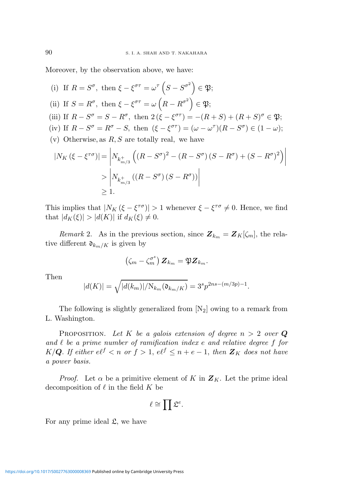Moreover, by the observation above, we have:

(i) If 
$$
R = S^{\sigma}
$$
, then  $\xi - \xi^{\sigma\tau} = \omega^{\tau} (S - S^{\sigma^2}) \in \mathfrak{P}$ ;  
\n(ii) If  $S = R^{\sigma}$ , then  $\xi - \xi^{\sigma\tau} = \omega (R - R^{\sigma^2}) \in \mathfrak{P}$ ;  
\n(iii) If  $R - S^{\sigma} = S - R^{\sigma}$ , then  $2(\xi - \xi^{\sigma\tau}) = -(R + S) + (R + S)^{\sigma} \in \mathfrak{P}$ ;  
\n(iv) If  $R - S^{\sigma} = R^{\sigma} - S$ , then  $(\xi - \xi^{\sigma\tau}) = (\omega - \omega^{\tau})(R - S^{\sigma}) \in (1 - \omega)$ ;  
\n(v) Otherwise, as  $R, S$  are totally real, we have  
\n
$$
|N_K(\xi - \xi^{\tau\sigma})| = \left| N_{k_{m/3}^+} ((R - S^{\sigma})^2 - (R - S^{\sigma})(S - R^{\sigma}) + (S - R^{\sigma})^2) \right|
$$
\n
$$
> \left| N_{k_{m/3}^+} ((R - S^{\sigma})(S - R^{\sigma})) \right|
$$
\n
$$
\geq 1.
$$

This implies that  $|N_K(\xi - \xi^{\tau\sigma})| > 1$  whenever  $\xi - \xi^{\tau\sigma} \neq 0$ . Hence, we find that  $|d_K(\xi)| > |d(K)|$  if  $d_K(\xi) \neq 0$ .

*Remark* 2. As in the previous section, since  $\mathbf{Z}_{k_m} = \mathbf{Z}_K[\zeta_m]$ , the relative different  $\mathfrak{d}_{k_m/K}$  is given by

$$
(\zeta_m-\zeta_m^{\sigma^s})\, \pmb{Z}_{k_m} = \pmb{\mathfrak P} \pmb{Z}_{k_m}.
$$

Then

$$
|d(K)| = \sqrt{|d(k_m)|/N_{k_m}(\mathfrak{d}_{k_m/K})} = 3^s p^{2ns - (m/3p) - 1}.
$$

The following is slightly generalized from  $[N_2]$  owing to a remark from L. Washington.

PROPOSITION. Let K be a galois extension of degree  $n > 2$  over Q and  $\ell$  be a prime number of ramification index e and relative degree f for K/Q. If either  $e^{\int \xi}$  a or  $f > 1$ ,  $e^{\int \xi} \leq n + e - 1$ , then  $\mathbb{Z}_K$  does not have a power basis.

*Proof.* Let  $\alpha$  be a primitive element of K in  $\mathbf{Z}_K$ . Let the prime ideal decomposition of  $\ell$  in the field K be

$$
\ell \cong \prod \mathfrak L^e.
$$

For any prime ideal  $\mathfrak{L}$ , we have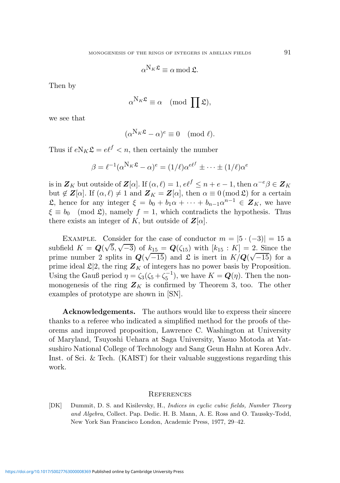$$
\alpha^{N_K\mathfrak{L}} \equiv \alpha \bmod \mathfrak{L}.
$$

Then by

$$
\alpha^{N_K \mathfrak{L}} \equiv \alpha \pmod{\prod \mathfrak{L}},
$$

we see that

$$
(\alpha^{N_K \mathfrak{L}} - \alpha)^e \equiv 0 \pmod{\ell}.
$$

Thus if  $eN_K\mathcal{L} = e^{\int \mathcal{L}} < n$ , then certainly the number

$$
\beta = \ell^{-1}(\alpha^{N_K \mathfrak{L}} - \alpha)^e = (1/\ell)\alpha^{e\ell^f} \pm \cdots \pm (1/\ell)\alpha^e
$$

is in  $\mathbf{Z}_K$  but outside of  $\mathbf{Z}[\alpha]$ . If  $(\alpha, \ell) = 1$ ,  $e^{\ell f} \leq n + e - 1$ , then  $\alpha^{-e} \beta \in \mathbf{Z}_K$ but  $\notin \mathbf{Z}[\alpha]$ . If  $(\alpha, \ell) \neq 1$  and  $\mathbf{Z}_K = \mathbf{Z}[\alpha]$ , then  $\alpha \equiv 0 \pmod{\mathfrak{L}}$  for a certain **L**, hence for any integer  $\xi = b_0 + b_1\alpha + \cdots + b_{n-1}\alpha^{n-1} \in \mathbf{Z}_K$ , we have  $\xi \equiv b_0 \pmod{\mathfrak{L}}$ , namely  $f = 1$ , which contradicts the hypothesis. Thus there exists an integer of K, but outside of  $\mathbf{Z}[\alpha]$ .

EXAMPLE. Consider for the case of conductor  $m = |5 \cdot (-3)| = 15$  a subfield  $K = Q(\sqrt{5}, \sqrt{-3})$  of  $k_{15} = Q(\zeta_{15})$  with  $[k_{15} : K] = 2$ . Since the prime number 2 splits in  $Q(\sqrt{-15})$  and  $\mathfrak{L}$  is inert in  $K/Q(\sqrt{-15})$  for a prime ideal  $\mathcal{L}|2$ , the ring  $\mathbf{Z}_K$  of integers has no power basis by Proposition. Using the Gauß period  $\eta = \zeta_3(\zeta_5 + \zeta_5^{-1})$ , we have  $K = \mathbf{Q}(\eta)$ . Then the nonmonogenesis of the ring  $\mathbf{Z}_K$  is confirmed by Theorem 3, too. The other examples of prototype are shown in [SN].

Acknowledgements. The authors would like to express their sincere thanks to a referee who indicated a simplified method for the proofs of theorems and improved proposition, Lawrence C. Washington at University of Maryland, Tsuyoshi Uehara at Saga University, Yasuo Motoda at Yatsushiro National College of Technology and Sang Geun Hahn at Korea Adv. Inst. of Sci. & Tech. (KAIST) for their valuable suggestions regarding this work.

#### **REFERENCES**

[DK] Dummit, D. S. and Kisilevsky, H., Indices in cyclic cubic fields, Number Theory and Algebra, Collect. Pap. Dedic. H. B. Mann, A. E. Ross and O. Taussky-Todd, New York San Francisco London, Academic Press, 1977, 29–42.